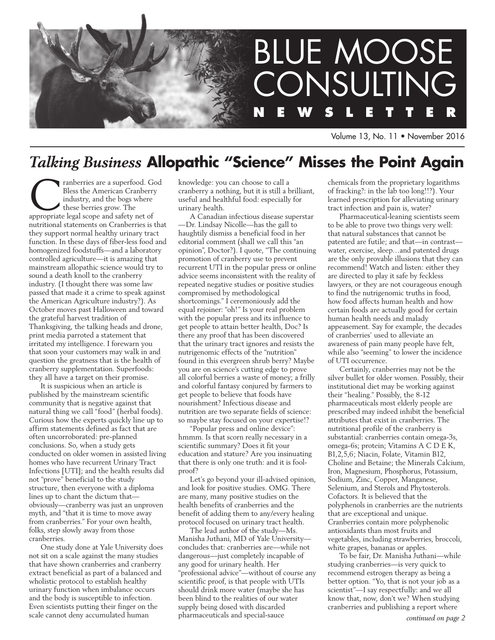

Volume 13, No. 11 • November 2016

# *Talking Business* **Allopathic "Science" Misses the Point Again**

ranberries are a superfood. God<br>
Bless the American Cranberry<br>
industry, and the bogs where<br>
these berries grow. The<br>
appropriate legal scope and safety net of Bless the American Cranberry industry, and the bogs where these berries grow. The nutritional statements on Cranberries is that they support normal healthy urinary tract function. In these days of fiber-less food and homogenized foodstuffs—and a laboratory controlled agriculture—it is amazing that mainstream allopathic science would try to sound a death knoll to the cranberry industry. (I thought there was some law passed that made it a crime to speak against the American Agriculture industry?). As October moves past Halloween and toward the grateful harvest tradition of Thanksgiving, the talking heads and drone, print media parroted a statement that irritated my intelligence. I forewarn you that soon your customers may walk in and question the greatness that is the health of cranberry supplementation. Superfoods: they all have a target on their promise.

It is suspicious when an article is published by the mainstream scientific community that is negative against that natural thing we call "food" (herbal foods). Curious how the experts quickly line up to affirm statements defined as fact that are often uncorroborated: pre-planned conclusions. So, when a study gets conducted on older women in assisted living homes who have recurrent Urinary Tract Infections [UTI]; and the health results did not "prove" beneficial to the study structure, then everyone with a diploma lines up to chant the dictum that obviously—cranberry was just an unproven myth, and "that it is time to move away from cranberries." For your own health, folks, step slowly away from those cranberries.

One study done at Yale University does not sit on a scale against the many studies that have shown cranberries and cranberry extract beneficial as part of a balanced and wholistic protocol to establish healthy urinary function when imbalance occurs and the body is susceptible to infection. Even scientists putting their finger on the scale cannot deny accumulated human

knowledge: you can choose to call a cranberry a nothing, but it is still a brilliant, useful and healthful food: especially for urinary health.

A Canadian infectious disease superstar —Dr. Lindsay Nicolle—has the gall to haughtily dismiss a beneficial food in her editorial comment (shall we call this "an opinion", Doctor?). I quote, "The continuing promotion of cranberry use to prevent recurrent UTI in the popular press or online advice seems inconsistent with the reality of repeated negative studies or positive studies compromised by methodological shortcomings." I ceremoniously add the equal rejoiner: "oh!" Is your real problem with the popular press and its influence to get people to attain better health, Doc? Is there any proof that has been discovered that the urinary tract ignores and resists the nutrigenomic effects of the "nutrition" found in this evergreen shrub berry? Maybe you are on science's cutting edge to prove all colorful berries a waste of money; a frilly and colorful fantasy conjured by farmers to get people to believe that foods have nourishment? Infectious disease and nutrition are two separate fields of science: so maybe stay focused on your expertise!?

"Popular press and online device": hmmm. Is that scorn really necessary in a scientific summary? Does it fit your education and stature? Are you insinuating that there is only one truth: and it is foolproof?

Let's go beyond your ill-advised opinion, and look for positive studies. OMG. There are many, many positive studies on the health benefits of cranberries and the benefit of adding them to any/every healing protocol focused on urinary tract health.

The lead author of the study—Ms. Manisha Juthani, MD of Yale University concludes that: cranberries are—while not dangerous—just completely incapable of any good for urinary health. Her "professional advice"—without of course any scientific proof, is that people with UTIs should drink more water (maybe she has been blind to the realities of our water supply being dosed with discarded pharmaceuticals and special-sauce

chemicals from the proprietary logarithms of fracking?: in the lab too long!!?). Your learned prescription for alleviating urinary tract infection and pain is, water?

Pharmaceutical-leaning scientists seem to be able to prove two things very well: that natural substances that cannot be patented are futile; and that—in contrast water, exercise, sleep…and patented drugs are the only provable illusions that they can recommend! Watch and listen: either they are directed to play it safe by feckless lawyers, or they are not courageous enough to find the nutrigenomic truths in food, how food affects human health and how certain foods are actually good for certain human health needs and malady appeasement. Say for example, the decades of cranberries' used to alleviate an awareness of pain many people have felt, while also "seeming" to lower the incidence of UTI occurrence.

Certainly, cranberries may not be the silver bullet for older women. Possibly, their institutional diet may be working against their "healing." Possibly, the 8-12 pharmaceuticals most elderly people are prescribed may indeed inhibit the beneficial attributes that exist in cranberries. The nutritional profile of the cranberry is substantial: cranberries contain omega-3s, omega-6s; protein; Vitamins A C D E K, B1,2,5,6; Niacin, Folate, Vitamin B12, Choline and Betaine; the Minerals Calcium, Iron, Magnesium, Phosphorus, Potassium, Sodium, Zinc, Copper, Manganese, Selenium, and Sterols and Phytosterols. Cofactors. It is believed that the polyphenols in cranberries are the nutrients that are exceptional and unique. Cranberries contain more polyphenolic antioxidants than most fruits and vegetables, including strawberries, broccoli, white grapes, bananas or apples.

To be fair, Dr. Manisha Juthani—while studying cranberries—is very quick to recommend estrogen therapy as being a better option. "Yo, that is not your job as a scientist"—I say respectfully: and we all know that, now, don't we? When studying cranberries and publishing a report where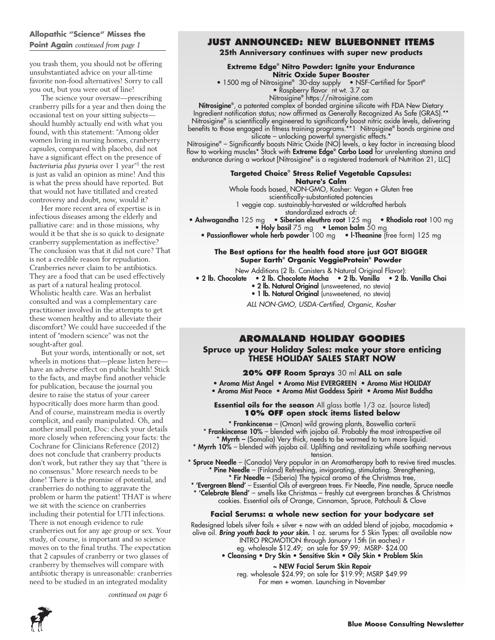### **Allopathic "Science" Misses the Point Again** *continued from page 1*

you trash them, you should not be offering unsubstantiated advice on your all-time favorite non-food alternatives! Sorry to call you out, but you were out of line!

The science your oversaw—prescribing cranberry pills for a year and then doing the occasional test on your sitting subjects should humbly actually end with what you found, with this statement: "Among older women living in nursing homes, cranberry capsules, compared with placebo, did not have a significant effect on the presence of *bacteriuria plus pyuria* over 1 year"1 the rest is just as valid an opinion as mine! And this is what the press should have reported. But that would not have titillated and created controversy and doubt, now, would it?

Her more recent area of expertise is in infectious diseases among the elderly and palliative care: and in those missions, why would it be that she is so quick to designate cranberry supplementation as ineffective? The conclusion was that it did not cure? That is not a credible reason for repudiation. Cranberries never claim to be antibiotics. They are a food that can be used effectively as part of a natural healing protocol. Wholistic health care. Was an herbalist consulted and was a complementary care practitioner involved in the attempts to get these women healthy and to alleviate their discomfort? We could have succeeded if the intent of "modern science" was not the sought-after goal.

But your words, intentionally or not, set wheels in motions that—please listen here have an adverse effect on public health! Stick to the facts, and maybe find another vehicle for publication, because the journal you desire to raise the status of your career hypocritically does more harm than good. And of course, mainstream media is overtly complicit, and easily manipulated. Oh, and another small point, Doc: check your details more closely when referencing your facts: the Cochrane for Clinicians Reference (2012) does not conclude that cranberry products don't work, but rather they say that "there is no consensus." More research needs to be done! There is the promise of potential, and cranberries do nothing to aggravate the problem or harm the patient! THAT is where we sit with the science on cranberries including their potential for UTI infections. There is not enough evidence to rule cranberries out for any age group or sex. Your study, of course, is important and so science moves on to the final truths. The expectation that 2 capsules of cranberry or two glasses of cranberry by themselves will compare with antibiotic therapy is unreasonable: cranberries need to be studied in an integrated modality

### **JUST ANNOUNCED: New Bluebonnet Items**

**25th Anniversary continues with super new products**

**Extreme Edge® Nitro Powder: Ignite your Endurance Nitric Oxide Super Booster**

• 1500 mg of Nitrosigine**®** 30-day supply • NSF-Certified for Sport**®** • Raspberry flavor nt wt. 3.7 oz

Nitrosigine**®** https://nitrosigine.com

Nitrosigine**®** , a patented complex of bonded arginine silicate with FDA New Dietary Ingredient notification status; now affirmed as Generally Recognized As Safe (GRAS).\*\* Nitrosigine**®** is scientifically engineered to significantly boost nitric oxide levels, delivering benefits to those engaged in fitness training programs.\*\*1 Nitrosigine**®** bonds arginine and silicate – unlocking powerful synergistic effects.\*

Nitrosigine**®** – Significantly boosts Nitric Oxide (NO) levels, a key factor in increasing blood flow to working muscles\* Stack with Extreme Edge**®** Carbo Load for unrelenting stamina and endurance during a workout [Nitrosigine**®** is a registered trademark of Nutrition 21, LLC]

### **Targeted Choice® Stress Relief Vegetable Capsules:**

**Nature's Calm**

Whole foods based, NON-GMO, Kosher: Vegan + Gluten free

scientifically-substantiated potencies 1 veggie cap. sustainably-harvested or wildcrafted herbals

standardized extracts of:

• Ashwagandha 125 mg · Siberian eleuthro root 125 mg · Rhodiola root 100 mg • Holy basil 75 mg • Lemon balm 50 mg

• Passionflower whole herb powder 100 mg • l-Theanine (free form) 125 mg

#### **The Best options for the health food store just GOT BIGGER Super Earth® Organic VeggieProtein® Powder**

New Additions (2 lb. Canisters & Natural Original Flavor):

- 2 lb. Chocolate 2 lb. Chocolate Mocha 2 lb. Vanilla 2 lb. Vanilla Chai
	- 2 lb. Natural Original (unsweetened, no stevia)

• 1 lb. Natural Original (unsweetened, no stevia)

*ALL NON-GMO, USDA-Certified, Organic, Kosher*

# **AROMALAND HOLIDAY GOODIES**

**Spruce up your Holiday Sales: make your store enticing THESE HOLIDAY SALES START NOW**

#### **20% OFF Room Sprays** 30 ml **ALL on sale**

- Aroma Mist Angel Aroma Mist EVERGREEN Aroma Mist HOLIDAY
- Aroma Mist Peace Aroma Mist Goddess Spirit Aroma Mist Buddha

**Essential oils for the season** All glass bottle 1/3 oz. (source listed) **10% OFF open stock items listed below**

\* Frankincense – (Oman) wild growing plants, Boswellia carterii \* Frankincense 10% – blended with jojoba oil. Probably the most introspective oil

\* Myrrh – (Somalia) Very thick, needs to be warmed to turn more liquid. \* Myrrh 10% – blended with jojoba oil. Uplifting and revitalizing while soothing nervous tension.

\* Spruce Needle - (Canada) Very popular in an Aromatherapy bath to revive tired muscles. \* Pine Needle – (Finland) Refreshing, invigorating, stimulating. Strengthening, \* Fir Needle – (Siberia) The typical aroma of the Christmas tree,

\* 'Evergreen Blend' – Essential Oils of evergreen trees. Fir Needle, Pine needle, Spruce needle \* 'Celebrate Blend' – smells like Christmas – freshly cut evergreen branches & Christmas

cookies. Essential oils of Orange, Cinnamon, Spruce, Patchouli & Clove

#### **Facial Serums: a whole new section for your bodycare set**

Redesigned labels silver foils + silver + now with an added blend of jojoba, macadamia + olive oil. *Bring youth back to your skin.* 1 oz. serums for 5 Skin Types: all available now INTRO PROMOTION through January 15th (in eaches) r eg. wholesale \$12.49; on sale for \$9.99; MSRP- \$24.00

• Cleansing • Dry Skin • Sensitive Skin • Oily Skin • Problem Skin

~ NEW Facial Serum Skin Repair reg. wholesale \$24.99; on sale for \$19.99; MSRP \$49.99 For men + women. Launching in November

**2**

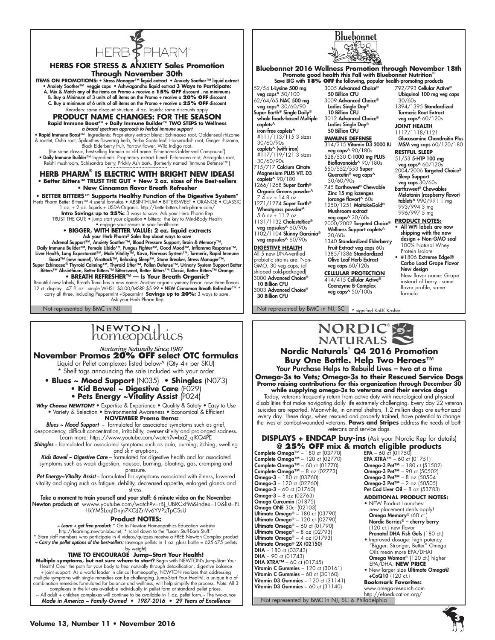

#### **Herbs for STRESS & ANXIETY Sales Promotion Through November 30th**  ITEMS ON PROMOTIONS: • Stress Manager™ liquid extract • Anxiety Soother™ liquid extract<br>• Anxiety Soother™ veggie caps • Ashwagandha liquid extract 3 Ways to Participate:<br>A. Mix & Match any of the items on Promo + receive B. Buy a Minimum of 3 units of all items on the Promo + receive a **20% OFF** discount C. Buy a minimum of 6 units of all items on the Promo + receive a **25% OFF** discount Reorders: same discount structure. 4 oz. liquids: same discounts apply

### **PRODUCT NAME CHANGES: FOR THE SEASON Rapid Immune Boost™ + Daily Immune Builder™ TWO STEPS to Wellness**

*a broad spectrum approach to herbal immune support* • Rapid Immune Boost™ Ingredients: Proprietary extract blend: Echinacea root, Goldenseal rhizome & rootlet, Osha root, Spilanthes flowering herb, Yerba Santa leaf, Horseradish root, Ginger rhizome, Black Elderberry fruit, Yarrow flower, Wild Indigo root. {the same classic, best-selling formula as old name 'Echinacea-Goldenseal Compound'}

• Daily Immune Builder™ Ingredients: Proprietary extract blend: Echinacea root, Astragalus root,<br>- Reishi mushroom, Schisandra berry, Prickly Ash bark. {formerly named 'Immune Defense™}<br>- ~~~~~~~~~~~~~~~~~~~~~~~~~~~~~~~~~

#### **HERB PHARM® IS ELECTRIC WITH BRIGHT NEW IDEAS! • Better Bitters™ TRUST THE GUT • New 2 oz. sizes of the Best-sellers • New Cinnamon flavor Breath Refresher**

• BETTER BITTERS™ Supports Healthy Function of the Digestive System\*<br>Herb Pharm Better Bitters™ 4 useful formulas • ABSINTHIUM • BITTERSWEET • ORANGE • CLASSIC<br>laz. + 2 az. liquids + USDAO(ganic. http://betterbitters.herb-TRUST THE GUT: • jump start your digestion • bitters: the key to Mind-Body Health

• engage your senses in your healthcare **• BIGGER, with better Value: 2 oz. liquid extracts** Ask your Herb Pharm® Sales Rep about ways to save<br>
Marenal Support™, Anxiety Soother™, Blood Pressure Support, Brain & Memory™,<br>
Daily Immune Builder™, Female Libido™, Fungus Fighter™, Good Mood™, Inflamma Response™,<br>
Li

Beautiful new labels, Breath Tonic has a new name: Another organic yummy flavor: now three flavors.<br>12 ct. display . 47 fl. oz. single WHSL: \$3.00/MSRP \$5.99 **• NEW Cinnamon Breath Refresher**™ \*<br>carry all three, including Ask your Herb Pharm Rep

Not represented by BMC in NJ Not represented by BMC in NJ, SC A signified Kof-K Kosher

# INEWTON<br>homeopathics

**November Promos 20% OFF select OTC formulas**

Liquid or Pellet complexes listed below^ (Qty 4+ per SKU) \* Shelf tags announcing the sale included with your order

**• Blues ~ Mood Support** (N035) **• Shingles** (N073)

- **Kid Bowel ~ Digestive Care** (F029)
- **Pets Energy ~Vitality Assist** (P024)

Why Choose NEWTON? • Expertise & Experience • Quality & Safety • Easy to Use • Variety & Selection • Environmental Awareness • Economical & Efficient **NOVEMBER Promo Items:**

**Blues ~ Mood Support** - formulated for associated symptoms such as grief,

despondency, difficult concentration, irritability, oversensitivity and prolonged sadness. Learn more: https://www.youtube.com/watch?v=ba2\_qIKQ4PE

**Shingles** - formulated for associated symptoms such as pain, burning, itching, swelling and skin eruptions.

*Kids Bowel ~ Digestive Care* – formulated for digestive health and for associated symptoms such as weak digestion, nausea, burning, bloating, gas, cramping and

pressure. *Pet Energy~Vitality Assist* -- formulated for symptoms associated with illness, lowered vitality and aging such as fatigue, debility, decreased appetite, enlarged glands and stress.

Take a moment to train yourself and your staff: 6 minute video on the November Newton products at wwww.youtube.com/watch?v=rBj\_UBRCxPM&index=10&list=PL HkYMSLeqfDnjn7KOJZnVv6YVPzTpCSsU

#### **Product NOTES:**

*~ Learn + get free product:* \* Go to Newton Homeopathics Education website http://learning.newtonlabs.net; \* scroll down to the "Learn Stuff-Earn Stuff:"

\* Store staff members who participate in 4 videos/quizzes receive a FREE Newton Complex product *~ Carry the pellet options of the best-sellers:* (average pellets in 1 oz. glass bottle = 625-675 pellets by weight)

### **TIME TO ENCOURAGE Jump~Start Your Health!**

**Multiple symptoms, but not sure where to start?** Begin with NEWTON's Jump-Start Your Health! Clear the path for your body to heal naturally through detoxification, digestive balance + joint support. As a world leader in clinical homeopathy, NEWTON realizes that addressing multiple symptoms with single remedies can be challenging. Jump-Start Your Health!, a unique trio of combination remedies formulated for balance and wellness, will help simplify the process. *Note:* All 3 complexes in the kit are available individually in pellet form at standard pellet prices. All adult + children complexes will continue to be available in 1 oz. pellet form.~ The two-ounce Made in America ~ Family-Owned • 1987-2016 • 29 Years of Excellence



### **Bluebonnet 2016 Wellness Promotion through November 18th Promote good health this Fall with Bluebonnet Nutrition®** Save BIG with **18% off** the following, popular health-promoting products

52/54 L-Lysine 500 mg veg caps^ 50/100 62/64/65 NAC 500 mg veg caps^ 30/60/90 Super Earth® Single Daily® whole foods-based Multiple caplets^ iron-free caplets^ #111/113/115 3 sizes 30/60/90s **caplets^ (with-iron)**<br>#117/119/121 3 sizes 30/60/90s  $715/717$  Calcium Citrate Magnesium PLUS VIT. D3 caplets<sup>^</sup> 90/180 266/1268 Super Earth® Organic Greens powder^ 7.4 oz.+ 14.8 oz. 1271/1274 Super Earth® Wheatgrass powder<sup>^</sup>

5.6 oz.+ 11.2 oz. 1131/1132 CholesteRice® veg capsules^ 60/90s 1102/1104 Skinny Garcinia® veg capsules^ 60/90s **DIGESTIVE HEALTH**

All 5 new DNA-verified probiotic strains are: Non-GMO, 30 veg caps; (all shipped cold-packaged) 3000 Advanced Choice® 10 Billion CFU 3003 Advanced Choice®

30 Billion CFU

50 Billion CFU 3009 Advanced Choice® Ladies Single Day® 10 Billion CFU 3012 Advanced Choice® Ladies Single Day® 50 Billion CFU

3005 Advanced Choice®

**IMMUNE DEFENSE** 314/315 Vitamin D3 2000 IU veg caps^ 90/180s

528/530 C-1000 mg PLUS Bioflavonoids<sup>^</sup> 90/180s 550/552/553 Super Quercetin® veg caps^ 30/60/90s 745 Earthsweet® Chewable Zinc 15 mg lozenges

(orange flavor)^ 60s 1250/1251 MaitakeGold® Mushroom extract

veg caps^ 30/60s 2000/2002 Targeted Choice® Wellness Support caplets^ 30/60s

1340 Standardized Elderberry Fruit Extract veg caps 60s 1385/1386 Standardized Olive Leaf Herb Extract veg caps 60/120s

**CELLULAR PROTECTION** 414/415 Cellular Active® Coenzyme B-Complex veg caps^ 50/100s

792/793 Cellular Active® Ubiquinol 100 mg veg caps 30/60s 1394/1395 Standardized Turmeric Root Extract

veg caps^ 60/120s **Joint Health**

1117/1118/1121 Glucosamine Chondroitin Plus MSM veg caps 60/120/180

**Restful Sleep** 51/53 5-HTP 100 mg veg caps^ 60/120s 2004/2006 Targeted Choice® Sleep Support

veg caps 30/60s<br>Earthsweet® Chewables Melatonin (raspberry flavor) tablets^ 990/991 1 mg 993/994 3 mg 996/997 5 mg

**PRODUCT NOTES:**

All WPI labels are now shipping with the new design + Non-GMO seal 100% Natural Whey Protein Isolate

• #1806 Extreme Edge® Carbo Load Grape Flavor New design New flavor name: Grape

instead of berry - same flavor profile, same formula

# NORDIC®S-**NATURALS**

#### **Nordic Naturals**®  **Q4 2016 Promotion Buy One Bottle. Help Two Heroes™** Your Purchase Helps to Rebuild Lives – two at a time **Omega-3s to Vets; Omega-3s to their Rescued Service Dogs Promo raising contributions for this organization through December 30**

**while supplying omega-3s to veterans and their service dogs** Today, veterans frequently return from active duty with neurological and physical disabilities that make navigating daily life extremely challenging. Every day 22 veteran suicides are reported. Meanwhile, in animal shelters, 1.2 million dogs are euthanized every day. These dogs, when rescued and properly trained, have potential to change the lives of combat-wounded veterans. **Paws and Stripes** address the needs of both veterans and service dogs.

#### **DISPLAYS + ENDCAP buy-ins** (Ask your Nordic Rep for details) **@ 25% OFF mix & match eligible products**

Complete Omega™ – 180 ct (03770) Complete Omega™ – 120 ct (02770) Complete Omega™ – 60 ct (01770) Complete Omega™ – 8 oz  $(02773)$ Omega-3 – 180 ct (03760) Omega-3 – 120 ct (02760) Omega-3 – 60 ct (01760)  $Omega-3 - 8$  oz (02763) Omega Curcumin (01875) Omega ONE 30ct (02103) **Ultimate Omega® –** 180 ct (03790)<br>**Ultimate Omega® –** 120 ct (02790) Ultimate Omega® – 60 ct (01790) Ultimate Omega® – 8 oz (02793) Ultimate Omega® – 4 oz  $(01793)$ Ultimate Omega® 2X (02150)  $DHA - 180$  ct  $(03743)$ **DHA** – 90 ct (01743)<br>**DHA XTRA™** – 60 ct (01745) **Vitamin C Gummies** – 120 ct (30161)<br>**Vitamin C Gummies** – 60 ct (30160) Vitamin D3 Gummies - 120 ct (31141) Vitamin D3 Gummies – 60 ct (31140)

http://efaeducation.org/<br>Not represented by BMC in NJ, SC & Philadelphia

**EPA –** 60 ct (01750)<br>**EPA XTRA™ –** 60 ct (01751) **Omega-3 Pet<sup>™</sup>** – 180 ct (51502) Omega-3  $Per^m = 90$  ct (50502) **Omega-3 Pet™ –** 8 oz (50504<br>**Omega-3 Pet™ –** 2 oz (50505) Pet Cod Liver Oil – 8 oz (53783) **ADDITIONAL PRODUCT NOTES:**  • NEW Product Launches: new placement deals apply!

 Omega Memory® (60 ct.) Nordic Berries® – cherry berry (120 ct.) new flavor Prenatal DHA Fish Gels (180 ct.) • Improved dosage: high potency

 "Bigger, Stronger, Better" Omega Oils mean more EPA/DHA! Omega Woman® (120 ct.) higher EPA/DHA. **new price** 

• New larger size Ultimate Omega® +CoQ10 (120 ct.) **Bookmark Favorites:**

www.omega-research.com

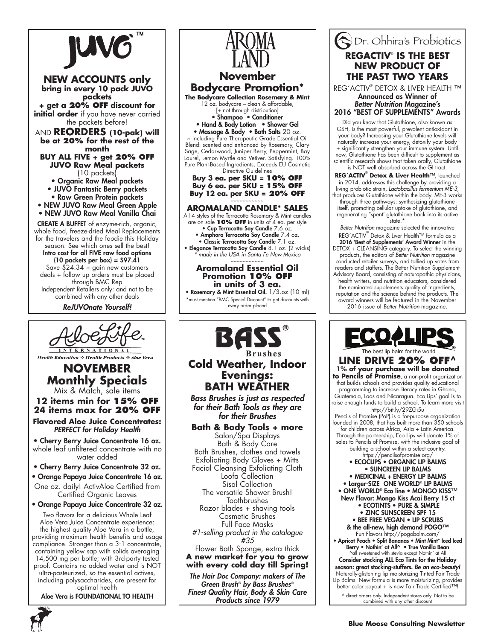

through BMC Rep Independent Retailers only: and not to be combined with any other deals

ReJUVOnate Yourself!



**Health Education** ☆ Health Products ☆ Aloe Vera

### **NOVEMBER Monthly Specials** Mix & Match, sale items

**12 items min for 15% off 24 items max for 20% off**

**Flavored Aloe Juice Concentrates:** *PERFECT for Holiday Health*

• Cherry Berry Juice Concentrate 16 oz. whole leaf unfiltered concentrate with no water added

• Cherry Berry Juice Concentrate 32 oz.

• Orange Papaya Juice Concentrate 16 oz. One oz. daily! ActivAloe Certified from Certified Organic Leaves

• Orange Papaya Juice Concentrate 32 oz. Two flavors for a delicious Whole Leaf Aloe Vera Juice Concentrate experience: the highest quality Aloe Vera in a bottle, providing maximum health benefits and usage compliance. Stronger than a 3:1 concentrate, containing yellow sap with solids averaging 14,500 mg per bottle; with 3rd-party tested proof. Contains no added water and is NOT ultra-pasteurized, so the essential actives, including polysaccharides, are present for optimal health

Aloe Vera is FOUNDATIONAL TO HEALTH



**Bath & Body Tools + more** Salon/Spa Displays Bath & Body Care Bath Brushes, clothes and towels Exfoliating Body Gloves + Mitts Facial Cleansing Exfoliating Cloth Loofa Collection Sisal Collection The versatile Shower Brush! **Toothbrushes** Razor blades + shaving tools Cosmetic Brushes Full Face Masks *#1-selling product in the catalogue #35* Flower Bath Sponge, extra thick **A new market for you to grow with every cold day till Spring!** *The Hair Doc Company: makers of The* 

*Green Brush® by Bass Brushes® Finest Quality Hair, Body & Skin Care*  Products since 1979

# Dr. Ohhira's Probiotics **REGACTIV**®  **IS THE BEST NEW PRODUCT OF THE PAST TWO YEARS**

REG´ACTIV® DETOX & LIVER HEALTH ™ Announced as Winner of *Better Nutrition* Magazine's 2016 "BEST OF SUPPLEMENTS" Awards

Did you know that Glutathione, also known as GSH, is the most powerful, prevalent antioxidant in your body? Increasing your Glutathione levels will naturally increase your energy, detoxify your body + significantly strengthen your immune system. Until now, Glutathione has been difficult to supplement as scientific research shows that taken orally, Glutathione is NOT well absorbed across the GI tract.

**REG´ACTIV**®  **Detox & Liver Health**™, launched in 2014, addresses this challenge by providing a living probiotic strain, *Lactobacillus fermentum ME-3,* that produces Glutathione within the body. ME-3 works through three pathways: synthesizing glutathione itself, promoting cellular uptake of glutathione, and regenerating "spent' glutathione back into its active state.\*

*Better Nutrition* magazine selected the innovative REG´ACTIV® Detox & Liver Health™ formula as a 2016 'Best of Supplements' Award Winner in the DETOX + CLEANSING category. To select the winning products, the editors of *Better Nutrition* magazine conducted retailer surveys, and tallied up votes from readers and staffers. The Better Nutrition Supplement Advisory Board, consisting of naturopathic physicians, health writers, and nutrition educators, considered the nominated supplements quality of ingredients, reputation and the science behind the products. The award winners will be featured in the November 2016 issue of *Better Nutrition* magazine.



The best lip balm for the world **LINE DRIVE 20% off^ 1% of your purchase will be donated to Pencils of Promise**, a non-profit organization that builds schools and provides quality educational programming to increase literacy rates in Ghana, Guatemala, Laos and Nicaragua. Eco Lips' goal is to raise enough funds to build a school. To learn more visit http://bit.ly/29ZGi5u Pencils of Promise (PoP) is a for-purpose organization

founded in 2008, that has built more than 350 schools for children across Africa, Asia + Latin America. Through the partnership, Eco Lips will donate 1% of sales to Pencils of Promise, with the inclusive goal of building a school within a select country.

https://pencilsofpromise.org/ • ECOCLIPS • ORGANIC LIP BALMS • SUNCREEN LIP BALMS • MEDICINAL + ENERGY LIP BALMS • Larger-SIZE ONE WORLD® LIP BALMS • ONE WORLD® Eco line • MONGO KISS™ New Flavor: Mongo Kiss Acai Berry 15 ct • ECOTINTS • PURE & SIMPLE • ZINC SUNSCREEN SPF 15 • BEE FREE VEGAN • LIP SCRUBS & the all-new, high demand POGO™ Fun Flavors http://pogobalm.com/ • Apricot Peach • Split Bananas • Mint Mint\* Iced Iced Berry • Nothin' at All^ • True Vanilla Bean ^all sweetened with stevia except Nothin' at All Consider stocking ALL Eco Tints for the Holiday season: great stocking-stuffers. Be an eco-beauty! Naturally-glistening lip moisturizing Tinted Fair Trade Lip Balms. New formula is more moisturizing, provides better color payout + is now Fair Trade Certified™! ^ direct orders only. Independent stores only. Not to be combined with any other discount

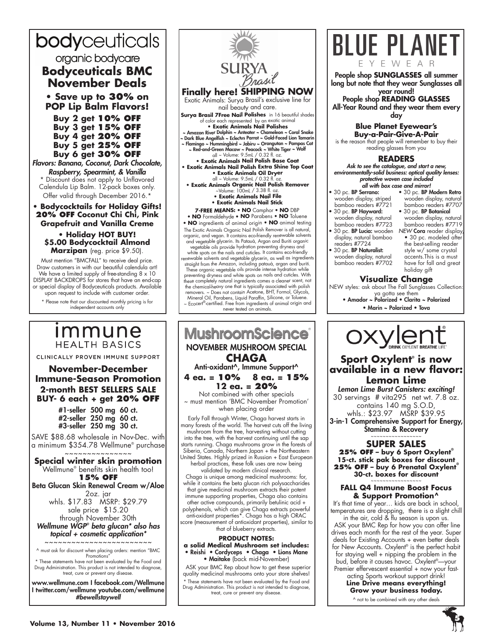# bodyceuticals organic bodycare **Bodyceuticals BMC November Deals**

**• Save up to 30% on POP Lip Balm Flavors!**

**Buy 2 get 10% off Buy 3 get 15% off Buy 4 get 20% off Buy 5 get 25% off Buy 6 get 30% off**

*Flavors: Banana, Coconut, Dark Chocolate, Raspberry, Spearmint, & Vanilla* Discount does not apply to Unflavored Calendula Lip Balm. 12-pack boxes only. Offer valid through December 2016.<sup>\*</sup>

**• Bodycocktails for Holiday Gifts! 20% off Coconut Chi Chi, Pink Grapefruit and Vanilla Creme**

**• Holiday HOT BUY! \$5.00 Bodycocktail Almond Marzipan** (reg. price \$9.50).

Must mention "BMCFALL" to receive deal price. Draw customers in with our beautiful calendula art! We have a limited supply of free-standing 8 x 10 DISPLAY BACKDROPS for stores that have an end-cap or special display of Bodyceuticals products. Available upon request to include with customer order.

\* Please note that our discounted monthly pricing is for independent accounts only

# *Immune* **HEALTH BASICS**

CLINICALLY PROVEN IMMUNE SUPPORT

**November-December Immune-Season Promotion 2-month BEST SELLERS SALE BUY- 6 each + get 20% OFF**

> #1-seller 500 mg 60 ct. #2-seller 250 mg 60 ct. #3-seller 250 mg 30 ct.

SAVE \$88.68 wholesale in Nov-Dec. with a minimum \$354.78 Wellmune® purchase ~~~~~~~~~~~~~~~

**Special winter skin promotion** Wellmune® benefits skin health too! **15% OFF**

Beta Glucan Skin Renewal Cream w/Aloe 2oz. jar

whls. \$17.83 MSRP: \$29.79 sale price \$15.20 through November 30th *Wellmune WGP® beta glucan\* also has* 

*topical + cosmetic application\** ~~~~~~~~~~~~~~~~~~~~~~~~

^ must ask for discount when placing orders: mention "BMC Promotions"

\* These statements have not been evaluated by the Food and Drug Administration. This product is not intended to diagnose, treat, cure or prevent any disease.

www.wellmune.com I facebook.com/Wellmune I twitter.com/wellmune youtube.com/wellmune *#bewellstaywell*



vegetable oils provide hydration preventing dryness and white spots on the nails and cuticles. It contains eco-friendly renewable solvents and vegetable glycerin, as well as ingredients straight from the Amazon, including patauá, argan and buriti. These organic vegetable oils provide intense hydration while preventing dryness and white spots on nails and cuticles. With these completely natural ingredients comes a cleaner scent, not the chemical-heavy one that is typically associated with polish removers. ~ Does not contain Acetone, BHT, Formol, Glycols, Mineral Oil, Parabens, Liquid Paraffin, Silicone, or Toluene. ~ Ecocert®-certified. Free from ingredients of animal origin and never tested on animals.

# **MushroomScience** NOVEMBER MUSHROOM SPECIAL **CHAGA** Anti-oxidant^, Immune Support^ **4 ea. = 10% 8 ea. = 15%**

**12 ea. = 20%**

Not combined with other specials ~ must mention 'BMC November Promotion' when placing order

Early Fall through Winter, Chaga harvest starts in many forests of the world. The harvest cuts off the living mushroom from the tree, harvesting without cutting into the tree, with the harvest continuing until the sap starts running. Chaga mushrooms grow in the forests of Siberia, Canada, Northern Japan + the Northeastern United States. Highly prized in Russian + East European

herbal practices, these folk uses are now being validated by modern clinical research.

Chaga is unique among medicinal mushrooms: for, while it contains the beta glucan rich polysaccharides that give medicinal mushroom extracts their potent immune supporting properties, Chaga also contains other active compounds, primarily betulinic acid + polyphenols, which can give Chaga extracts powerful anti-oxidant properties\*. Chaga has a high ORAC score (measurement of antioxidant properties), similar to that of blueberry extracts.

#### **PRODUCT NOTES:**

**a solid Medical Mushroom set includes:** • Reishi • Cordyceps • Chaga • Lions Mane • Maitake (back mid-November)

 ASK your BMC Rep about how to get these superior quality medicinal mushrooms onto your store shelves! \* These statements have not been evaluated by the Food and Drug Administration. This product is not intended to diagnose, treat, cure or prevent any disease.



#### **READERS**

*Ask to see the catalogue, and start a new, environmentally-solid business: optical quality lenses: protective woven case included* all with box case and mirror!

- 30 pc. BP Serrano: wooden display, striped
- bamboo readers #7721 • 30 pc. BP Hayward: wooden display, natural
- bamboo readers #7723 bamboo readers #7707 • 30 pc. BP Botanical wooden display, natural
- 30 pc. BP Lucia: wooden *NEW* Cora reader display, display, natural bamboo readers #7724
- 30 pc. BP Naturalist: wooden display, natural bamboo readers #7702

bamboo readers #7719 • 30 pc. modeled after the best-selling reader style w/ some crystal accents.This is a must have for fall and great holiday gift

• 30 pc. BP Modern Retro wooden display, natural

### **Visualize Change**

NEW styles: ask about The Fall Sunglasses Collection:

- ya gotta see them Amador ~ Polarized Clarita ~ Polarized
	- Marin ~ Polarized Tova



# **Sport Oxylent® is now available in a new flavor: Lemon Lime**

Lemon Lime Burst Canisters: exciting! 30 servings # vita295 net wt. 7.8 oz. contains 140 mg S.O.D, whls.: \$23.97 MSRP \$39.95

3-in-1 Comprehensive Support for Energy, Stamina & Recovery

#### ~~~~~~~~~~~~~~~~~ **SUPER SALES**

**25% OFF – buy 6 Sport Oxylent® 15-ct. stick pak boxes for discount 25% OFF – buy 6 Prenatal Oxylent® 30-ct. boxes for discount** ~~~~~~~~~~~~~~~~~

#### **FALL Q4 Immune Boost Focus & Support Promotion^**

It's that time of year… kids are back in school, temperatures are dropping, there is a slight chill in the air, cold & flu season is upon us.

 ASK your BMC Rep for how you can offer line drives each month for the rest of the year. Super deals for Existing Accounts + even better deals for New Accounts. Oxylent® is the perfect habit for staying well + nipping the problem in the bud, before it causes havoc. Oxylent®—your Premier effervescent essential + now your fast-

acting Sports workout support drink! **Line Drive means everything! Grow your business today.**

^ not to be combined with any other deals

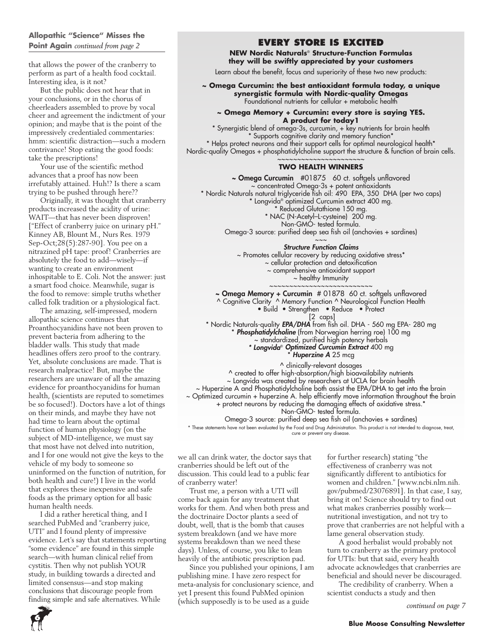### **Allopathic "Science" Misses the Point Again** *continued from page 2*

that allows the power of the cranberry to perform as part of a health food cocktail. Interesting idea, is it not?

But the public does not hear that in your conclusions, or in the chorus of cheerleaders assembled to prove by vocal cheer and agreement the indictment of your opinion; and maybe that is the point of the impressively credentialed commentaries: hmm: scientific distraction—such a modern contrivance! Stop eating the good foods: take the prescriptions!

Your use of the scientific method advances that a proof has now been irrefutably attained. Huh!? Is there a scam trying to be pushed through here??

Originally, it was thought that cranberry products increased the acidity of urine: WAIT—that has never been disproven! ["Effect of cranberry juice on urinary pH." Kinney AB, Blount M., Nurs Res. 1979 Sep-Oct;28(5):287-90]. You pee on a nitrazined pH tape: proof! Cranberries are absolutely the food to add—wisely—if wanting to create an environment inhospitable to E. Coli. Not the answer: just a smart food choice. Meanwhile, sugar is the food to remove: simple truths whether called folk tradition or a physiological fact.

The amazing, self-impressed, modern allopathic science continues that Proanthocyanidins have not been proven to prevent bacteria from adhering to the bladder walls. This study that made headlines offers zero proof to the contrary. Yet, absolute conclusions are made. That is research malpractice! But, maybe the researchers are unaware of all the amazing evidence for proanthocyanidins for human health, (scientists are reputed to sometimes be so focused!). Doctors have a lot of things on their minds, and maybe they have not had time to learn about the optimal function of human physiology (on the subject of MD-intelligence, we must say that most have not delved into nutrition, and I for one would not give the keys to the vehicle of my body to someone so uninformed on the function of nutrition, for both health and cure!) I live in the world that explores these inexpensive and safe foods as the primary option for all basic human health needs.

I did a rather heretical thing, and I searched PubMed and "cranberry juice, UTI" and I found plenty of impressive evidence. Let's say that statements reporting "some evidence" are found in this simple search—with human clinical relief from cystitis. Then why not publish YOUR study, in building towards a directed and limited consensus—and stop making conclusions that discourage people from finding simple and safe alternatives. While

# **EVERY STORE IS EXCITED**

**NEW Nordic Naturals**® **Structure-Function Formulas they will be swiftly appreciated by your customers**

Learn about the benefit, focus and superiority of these two new products:

**~ Omega Curcumin: the best antioxidant formula today, a unique synergistic formula with Nordic-quality Omegas** Foundational nutrients for cellular + metabolic health

#### **~ Omega Memory + Curcumin: every store is saying YES. A product for today1**

\* Synergistic blend of omega-3s, curcumin, + key nutrients for brain health \* Supports cognitive clarity and memory function\* \* Helps protect neurons and their support cells for optimal neurological health\* Nordic-quality Omegas + phosphatidylcholine support the structure & function of brain cells. ~~~~~~~~~~~~~~~~~~~

#### **TWO HEALTH WINNERS**

~ Omega Curcumin #01875 60 ct. softgels unflavored ~ concentrated Omega-3s + potent antioxidants \* Nordic Naturals natural triglyceride fish oil: 490 EPA, 350 DHA (per two caps) \* Longvida® optimized Curcumin extract 400 mg. \* Reduced Glutathione 150 mg. \* NAC (N-Acetyl–L-cysteine) 200 mg. Non-GMO- tested formula. Omega-3 source: purified deep sea fish oil (anchovies + sardines)  $\sim\sim\sim$ 

*Structure Function Claims*

~ Promotes cellular recovery by reducing oxidative stress\* ~ cellular protection and detoxification ~ comprehensive antioxidant support  $\sim$  healthy Immunity ~~~~~~~~~~~~~~~~~~~~~~~~~

~ Omega Memory + Curcumin # 01878 60 ct. softgels unflavored

^ Cognitive Clarity ^ Memory Function ^ Neurological Function Health

• Build • Strengthen • Reduce • Protect

 [2 caps] \* Nordic Naturals-quality *EPA/DHA* from fish oil. DHA - 560 mg EPA- 280 mg \* *Phosphatidylcholine* (from Norwegian herring roe) 100 mg ~ standardized, purified high potency herbals *\* Longvida*® Optimized Curcumin Extract 400 mg

**Huperzine A** 25 mcg

^ clinically-relevant dosages

^ created to offer high-absorption/high bioavailability nutrients

~ Longvida was created by researchers at UCLA for brain health

~ Huperzine A and Phosphatidylcholine both assist the EPA/DHA to get into the brain

~ Optimized curcumin + huperzine A. help efficiently move information throughout the brain + protect neurons by reducing the damaging effects of oxidative stress.\*

Non-GMO- tested formula.

Omega-3 source: purified deep sea fish oil (anchovies + sardines) \* These statements have not been evaluated by the Food and Drug Administration. This product is not intended to diagnose, treat,

cure or prevent any disease.

we all can drink water, the doctor says that cranberries should be left out of the discussion. This could lead to a public fear of cranberry water!

Trust me, a person with a UTI will come back again for any treatment that works for them. And when both press and the doctrinaire Doctor plants a seed of doubt, well, that is the bomb that causes system breakdown (and we have more systems breakdown than we need these days). Unless, of course, you like to lean heavily of the antibiotic prescription pad.

Since you published your opinions, I am publishing mine. I have zero respect for meta-analysis for conclusionary science, and yet I present this found PubMed opinion (which supposedly is to be used as a guide

for further research) stating "the effectiveness of cranberry was not significantly different to antibiotics for women and children." [www.ncbi.nlm.nih. gov/pubmed/23076891]. In that case, I say, bring it on! Science should try to find out what makes cranberries possibly work nutritional investigation, and not try to prove that cranberries are not helpful with a lame general observation study.

A good herbalist would probably not turn to cranberry as the primary protocol for UTIs: but that said, every health advocate acknowledges that cranberries are beneficial and should never be discouraged.

The credibility of cranberry. When a scientist conducts a study and then

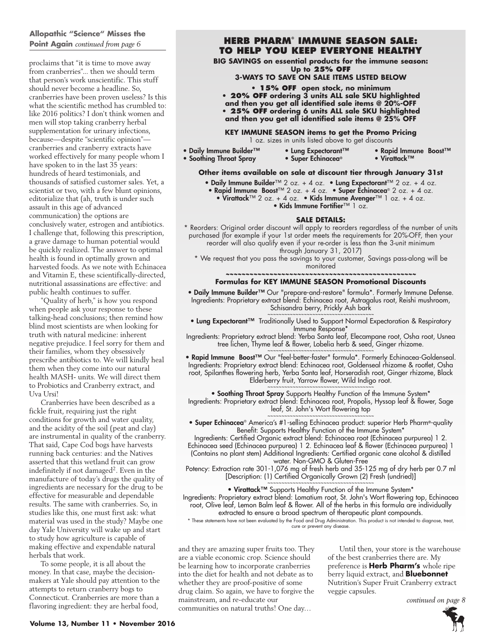### **Allopathic "Science" Misses the Point Again** *continued from page 6*

proclaims that "it is time to move away from cranberries"... then we should term that person's work unscientific. This stuff should never become a headline. So, cranberries have been proven useless? Is this what the scientific method has crumbled to: like 2016 politics? I don't think women and men will stop taking cranberry herbal supplementation for urinary infections, because—despite "scientific opinion" cranberries and cranberry extracts have worked effectively for many people whom I have spoken to in the last 35 years: hundreds of heard testimonials, and thousands of satisfied customer sales. Yet, a scientist or two, with a few blunt opinions, editorialize that (ah, truth is under such assault in this age of advanced communication) the options are conclusively water, estrogen and antibiotics. I challenge that, following this prescription, a grave damage to human potential would be quickly realized. The answer to optimal health is found in optimally grown and harvested foods. As we note with Echinacea and Vitamin E, these scientifically-directed, nutritional assassinations are effective: and public health continues to suffer.

"Quality of herb," is how you respond when people ask your response to these talking-head conclusions; then remind how blind most scientists are when looking for truth with natural medicine: inherent negative prejudice. I feel sorry for them and their families, whom they obsessively prescribe antibiotics to. We will kindly heal them when they come into our natural health MASH- units. We will direct them to Probiotics and Cranberry extract, and Uva Ursi!

Cranberries have been described as a fickle fruit, requiring just the right conditions for growth and water quality, and the acidity of the soil (peat and clay) are instrumental in quality of the cranberry. That said, Cape Cod bogs have harvests running back centuries: and the Natives asserted that this wetland fruit can grow indefinitely if not damaged<sup>2</sup>. Even in the manufacture of today's drugs the quality of ingredients are necessary for the drug to be effective for measurable and dependable results. The same with cranberries. So, in studies like this, one must first ask: what material was used in the study? Maybe one day Yale University will wake up and start to study how agriculture is capable of making effective and expendable natural herbals that work.

To some people, it is all about the money. In that case, maybe the decisionmakers at Yale should pay attention to the attempts to return cranberry bogs to Connecticut. Cranberries are more than a flavoring ingredient: they are herbal food,

# **Herb Pharm® Immune Season Sale: to help you keep everyone healthy**

**BIG SAVINGS on essential products for the immune season:** 

**Up to 25% OFF 3-ways to SAVE on sale items listed below**

**• 15% OFF open stock, no minimum • 20% OFF ordering 3 units ALL sale SKU highlighted and then you get all identified sale items @ 20%-OFF • 25% OFF ordering 6 units ALL sale SKU highlighted and then you get all identified sale items @ 25% OFF**

# **KEY IMMUNE SEASON items to get the Promo Pricing**

1 oz. sizes in units listed above to get discounts

- Daily Immune Builder™ Lung Expectorant™ Rapid Immune Boost™<br>• Soothing Throat Spray Super Echinacea® Virattack™ • Soothing Throat Spray
	-
	-

#### **Other items available on sale at discount tier through January 31st**

- Daily Immune Builder™ 2 oz. + 4 oz. Lung Expectorant™ 2 oz. + 4 oz.
- Rapid Immune Boost™ 2 oz. + 4 oz. Super Echinacea® 2 oz. + 4 oz.
	- Virattack™ 2 oz. + 4 oz. Kids Immune Avenger™ 1 oz. + 4 oz.
		- Kids Immune Fortifier™ 1 oz.

#### **SALE DETAILS:**

\* Reorders: Original order discount will apply to reorders regardless of the number of units purchased (for example if your 1st order meets the requirements for 20%-OFF, then your reorder will also qualify even if your re-order is less than the 3-unit minimum through January 31, 2017)

\* We request that you pass the savings to your customer, Savings pass-along will be monitored

#### *~~~~~~~~~~~~~~~~~~~~~~~~~~~~~~~~~~~~~~~~~~~~~~~~* **Formulas for KEY IMMUNE SEASON Promotional Discounts**

• Daily Immune Builder™ Our "prepare-and-restore" formula\*. Formerly Immune Defense. Ingredients: Proprietary extract blend: Echinacea root, Astragalus root, Reishi mushroom, Schisandra berry, Prickly Ash bark

~~~~~~~~~~~~~~~~~~~~~~~~~~~~~~~~~~~~ • Lung Expectorant<sup>™</sup> Traditionally Used to Support Normal Expectoration & Respiratory Immune Response\*

Ingredients: Proprietary extract blend: Yerba Santa leaf, Elecampane root, Osha root, Usnea tree lichen, Thyme leaf & flower, Lobelia herb & seed, Ginger rhizome. ~~~~~~~~~~~~~~~~~~~~~~~~~~~~~~~~~~~

• Rapid Immune Boost™ Our "feel-better-faster" formula\*. Formerly Echinacea-Goldenseal. Ingredients: Proprietary extract blend: Echinacea root, Goldenseal rhizome & rootlet, Osha root, Spilanthes flowering herb, Yerba Santa leaf, Horseradish root, Ginger rhizome, Black Elderberry fruit, Yarrow flower, Wild Indigo root.

~~~~~~~~~~~~~~~~~~~~~~~~~~~~~~~~~~~~~~ • Soothing Throat Spray Supports Healthy Function of the Immune System\* Ingredients: Proprietary extract blend: Echinacea root, Propolis, Hyssop leaf & flower, Sage leaf, St. John's Wort flowering top

~~~~~~~~~~~~~~~~~~~~~~~~~~~~~~~~~~~~~~ • Super Echinacea® America's #1-selling Echinacea product: superior Herb Pharm®-quality Benefit: Supports Healthy Function of the Immune System\*

Ingredients: Certified Organic extract blend: Echinacea root (Echinacea purpurea) 1 2. Echinacea seed (Echinacea purpurea) 1 2. Echinacea leaf & flower (Echinacea purpurea) 1 (Contains no plant stem) Additional Ingredients: Certified organic cane alcohol & distilled

water. Non-GMO & Gluten-Free Potency: Extraction rate 301-1,076 mg of fresh herb and 35-125 mg of dry herb per 0.7 ml [Description: (1) Certified Organically Grown (2) Fresh (undried)]

> ~~~~~~~~~~~~~~~~~~~~~~~~~~~~~~~~~~~~ • Virattack™ Supports Healthy Function of the Immune System\*

Ingredients: Proprietary extract blend: Lomatium root, St. John's Wort flowering top, Echinacea root, Olive leaf, Lemon Balm leaf & flower. All of the herbs in this formula are individually extracted to ensure a broad spectrum of therapeutic plant compounds.

\* These statements have not been evaluated by the Food and Drug Administration. This product is not intended to diagnose, treat, cure or prevent any disease.

and they are amazing super fruits too. They are a viable economic crop. Science should be learning how to incorporate cranberries into the diet for health and not debate as to whether they are proof-positive of some drug claim. So again, we have to forgive the mainstream, and re-educate our communities on natural truths! One day…

Until then, your store is the warehouse of the best cranberries there are. My preference is **Herb Pharm's** whole ripe berry liquid extract, and **Bluebonnet**  Nutrition's Super Fruit Cranberry extract veggie capsules.

*continued on page 8*